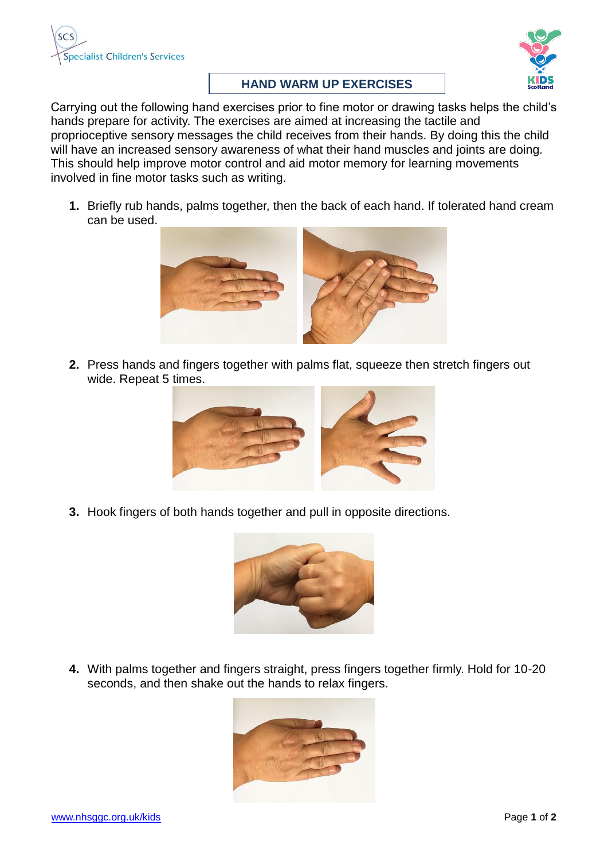



## **HAND WARM UP EXERCISES**

Carrying out the following hand exercises prior to fine motor or drawing tasks helps the child's hands prepare for activity. The exercises are aimed at increasing the tactile and proprioceptive sensory messages the child receives from their hands. By doing this the child will have an increased sensory awareness of what their hand muscles and joints are doing. This should help improve motor control and aid motor memory for learning movements involved in fine motor tasks such as writing.

**1.** Briefly rub hands, palms together, then the back of each hand. If tolerated hand cream can be used.



**2.** Press hands and fingers together with palms flat, squeeze then stretch fingers out wide. Repeat 5 times.



**3.** Hook fingers of both hands together and pull in opposite directions.



**4.** With palms together and fingers straight, press fingers together firmly. Hold for 10-20 seconds, and then shake out the hands to relax fingers.